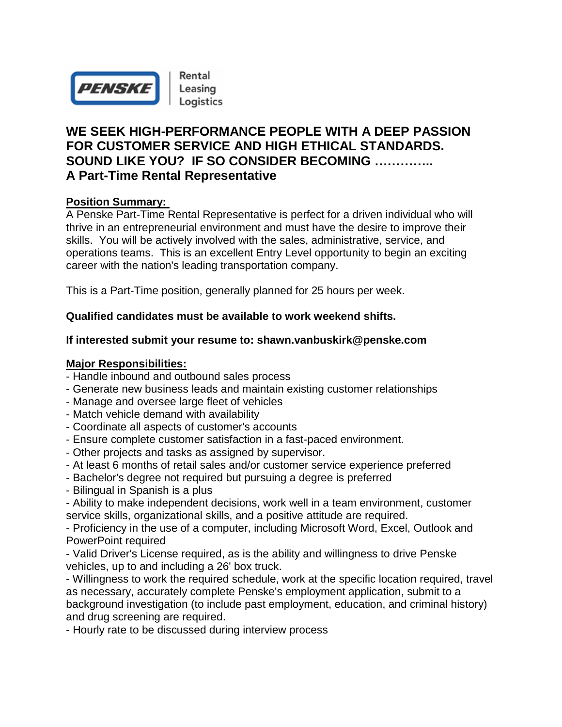

# **WE SEEK HIGH-PERFORMANCE PEOPLE WITH A DEEP PASSION FOR CUSTOMER SERVICE AND HIGH ETHICAL STANDARDS. SOUND LIKE YOU? IF SO CONSIDER BECOMING ………….. A Part-Time Rental Representative**

## **Position Summary:**

A Penske Part-Time Rental Representative is perfect for a driven individual who will thrive in an entrepreneurial environment and must have the desire to improve their skills. You will be actively involved with the sales, administrative, service, and operations teams. This is an excellent Entry Level opportunity to begin an exciting career with the nation's leading transportation company.

This is a Part-Time position, generally planned for 25 hours per week.

## **Qualified candidates must be available to work weekend shifts.**

#### **If interested submit your resume to: shawn.vanbuskirk@penske.com**

#### **Major Responsibilities:**

- Handle inbound and outbound sales process
- Generate new business leads and maintain existing customer relationships
- Manage and oversee large fleet of vehicles
- Match vehicle demand with availability
- Coordinate all aspects of customer's accounts
- Ensure complete customer satisfaction in a fast-paced environment.
- Other projects and tasks as assigned by supervisor.
- At least 6 months of retail sales and/or customer service experience preferred
- Bachelor's degree not required but pursuing a degree is preferred
- Bilingual in Spanish is a plus
- Ability to make independent decisions, work well in a team environment, customer service skills, organizational skills, and a positive attitude are required.

- Proficiency in the use of a computer, including Microsoft Word, Excel, Outlook and PowerPoint required

- Valid Driver's License required, as is the ability and willingness to drive Penske vehicles, up to and including a 26' box truck.

- Willingness to work the required schedule, work at the specific location required, travel as necessary, accurately complete Penske's employment application, submit to a background investigation (to include past employment, education, and criminal history) and drug screening are required.

- Hourly rate to be discussed during interview process